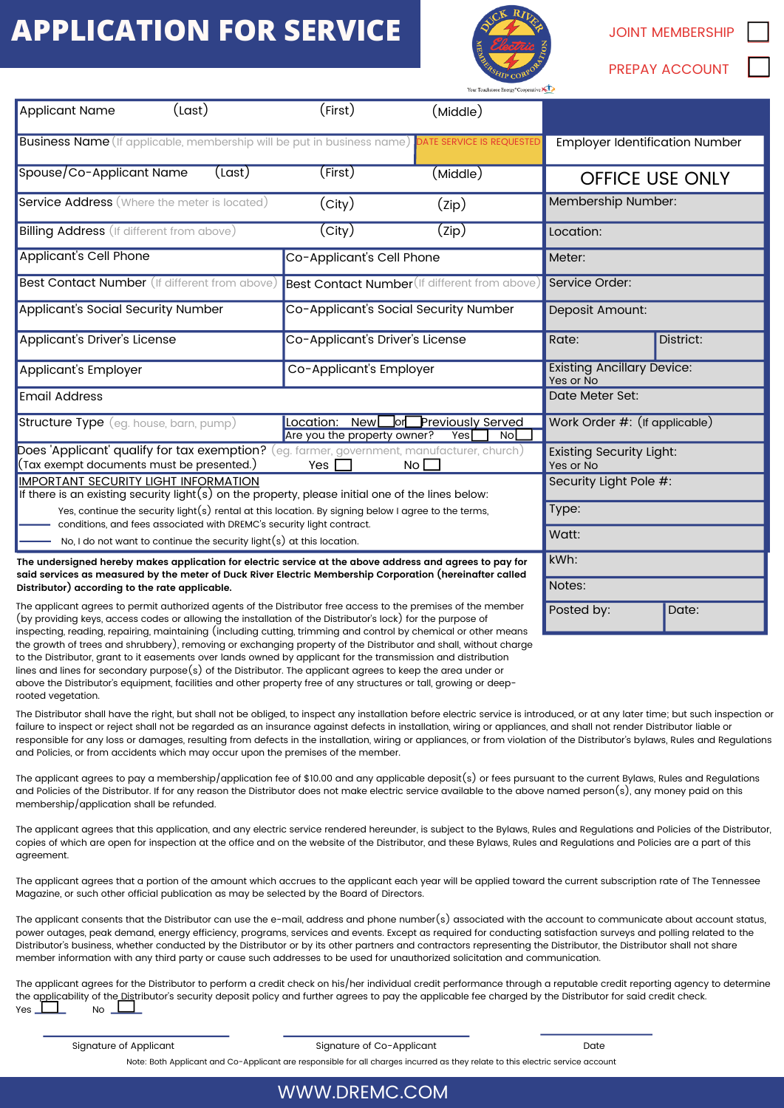# **APPLICATION FOR SERVICE** A **SERVICE** SUPPLICATION



| <b>JOINT MEMBERSHIP</b> |  |
|-------------------------|--|
| <b>PREPAY ACCOUNT</b>   |  |

|                                                                                                                                                                                                                                                                                                                                                                                                                                                                                                                                                                                                                            |                                                                                                                                                                                                              | ALD CORA<br>Your Touchstone Energy <sup>®</sup> Cooperative |                                       |                        |           |  |
|----------------------------------------------------------------------------------------------------------------------------------------------------------------------------------------------------------------------------------------------------------------------------------------------------------------------------------------------------------------------------------------------------------------------------------------------------------------------------------------------------------------------------------------------------------------------------------------------------------------------------|--------------------------------------------------------------------------------------------------------------------------------------------------------------------------------------------------------------|-------------------------------------------------------------|---------------------------------------|------------------------|-----------|--|
| (Last)<br><b>Applicant Name</b>                                                                                                                                                                                                                                                                                                                                                                                                                                                                                                                                                                                            | (First)                                                                                                                                                                                                      | (Middle)                                                    |                                       |                        |           |  |
| <b>Business Name</b> (If applicable, membership will be put in business name)                                                                                                                                                                                                                                                                                                                                                                                                                                                                                                                                              |                                                                                                                                                                                                              | DATE SERVICE IS REQUESTED                                   | <b>Employer Identification Number</b> |                        |           |  |
| Spouse/Co-Applicant Name<br>(Last)                                                                                                                                                                                                                                                                                                                                                                                                                                                                                                                                                                                         | (First)                                                                                                                                                                                                      | (Middle)                                                    |                                       | <b>OFFICE USE ONLY</b> |           |  |
| <b>Service Address</b> (Where the meter is located)                                                                                                                                                                                                                                                                                                                                                                                                                                                                                                                                                                        | (city)                                                                                                                                                                                                       | (zip)                                                       | Membership Number:                    |                        |           |  |
| <b>Billing Address</b> (If different from above)                                                                                                                                                                                                                                                                                                                                                                                                                                                                                                                                                                           | $\overline{\text{(City)}}$                                                                                                                                                                                   | (Zip)                                                       | Location:                             |                        |           |  |
| <b>Applicant's Cell Phone</b>                                                                                                                                                                                                                                                                                                                                                                                                                                                                                                                                                                                              | Co-Applicant's Cell Phone                                                                                                                                                                                    |                                                             | Meter:                                |                        |           |  |
| Best Contact Number (If different from above)                                                                                                                                                                                                                                                                                                                                                                                                                                                                                                                                                                              | Best Contact Number (If different from above)                                                                                                                                                                |                                                             | Service Order:                        |                        |           |  |
| Applicant's Social Security Number                                                                                                                                                                                                                                                                                                                                                                                                                                                                                                                                                                                         | Co-Applicant's Social Security Number                                                                                                                                                                        |                                                             | Deposit Amount:                       |                        |           |  |
| Applicant's Driver's License                                                                                                                                                                                                                                                                                                                                                                                                                                                                                                                                                                                               | Co-Applicant's Driver's License                                                                                                                                                                              |                                                             | Rate:                                 | District:              |           |  |
| Applicant's Employer                                                                                                                                                                                                                                                                                                                                                                                                                                                                                                                                                                                                       | Co-Applicant's Employer                                                                                                                                                                                      |                                                             | <b>Existing Ancillary Device:</b>     |                        | Yes or No |  |
| <b>Email Address</b>                                                                                                                                                                                                                                                                                                                                                                                                                                                                                                                                                                                                       |                                                                                                                                                                                                              |                                                             | Date Meter Set:                       |                        |           |  |
| <b>Structure Type</b> (eg. house, barn, pump)                                                                                                                                                                                                                                                                                                                                                                                                                                                                                                                                                                              | Location: New <sup>[</sup><br><b>Previously Served</b><br>_lor[_<br>Are you the property owner?                                                                                                              |                                                             | Work Order #: (If applicable)         |                        |           |  |
| Does 'Applicant' qualify for tax exemption? (eq. farmer, government, manufacturer, church)                                                                                                                                                                                                                                                                                                                                                                                                                                                                                                                                 | Yes<br>NoL                                                                                                                                                                                                   |                                                             | <b>Existing Security Light:</b>       |                        |           |  |
| (Tax exempt documents must be presented.)<br>Yes<br>$No$ $\Box$<br><b>IMPORTANT SECURITY LIGHT INFORMATION</b>                                                                                                                                                                                                                                                                                                                                                                                                                                                                                                             |                                                                                                                                                                                                              | Yes or No<br>Security Light Pole #:                         |                                       |                        |           |  |
|                                                                                                                                                                                                                                                                                                                                                                                                                                                                                                                                                                                                                            | If there is an existing security light( $s$ ) on the property, please initial one of the lines below:<br>Yes, continue the security light(s) rental at this location. By signing below I agree to the terms, |                                                             | Type:                                 |                        |           |  |
| conditions, and fees associated with DREMC's security light contract.<br>No, I do not want to continue the security light(s) at this location.                                                                                                                                                                                                                                                                                                                                                                                                                                                                             |                                                                                                                                                                                                              |                                                             | Watt:                                 |                        |           |  |
| The undersigned hereby makes application for electric service at the above address and agrees to pay for                                                                                                                                                                                                                                                                                                                                                                                                                                                                                                                   |                                                                                                                                                                                                              |                                                             | kWh:                                  |                        |           |  |
| said services as measured by the meter of Duck River Electric Membership Corporation (hereinafter called<br>Distributor) according to the rate applicable.                                                                                                                                                                                                                                                                                                                                                                                                                                                                 |                                                                                                                                                                                                              |                                                             | Notes:                                |                        |           |  |
| The applicant agrees to permit authorized agents of the Distributor free access to the premises of the member<br>(by providing keys, access codes or allowing the installation of the Distributor's lock) for the purpose of                                                                                                                                                                                                                                                                                                                                                                                               |                                                                                                                                                                                                              |                                                             | Posted by:<br>Date:                   |                        |           |  |
| inspecting, reading, repairing, maintaining (including cutting, trimming and control by chemical or other means<br>the growth of trees and shrubbery), removing or exchanging property of the Distributor and shall, without charge<br>to the Distributor, grant to it easements over lands owned by applicant for the transmission and distribution<br>lines and lines for secondary purpose(s) of the Distributor. The applicant agrees to keep the area under or<br>above the Distributor's equipment, facilities and other property free of any structures or tall, growing or deep-<br>rooted vegetation.             |                                                                                                                                                                                                              |                                                             |                                       |                        |           |  |
| The Distributor shall have the right, but shall not be obliged, to inspect any installation before electric service is introduced, or at any later time; but such inspection or<br>failure to inspect or reject shall not be regarded as an insurance against defects in installation, wiring or appliances, and shall not render Distributor liable or<br>responsible for any loss or damages, resulting from defects in the installation, wiring or appliances, or from violation of the Distributor's bylaws, Rules and Regulations<br>and Policies, or from accidents which may occur upon the premises of the member. |                                                                                                                                                                                                              |                                                             |                                       |                        |           |  |
| The applicant agrees to pay a membership/application fee of \$10.00 and any applicable deposit(s) or fees pursuant to the current Bylaws, Rules and Regulations<br>and Policies of the Distributor. If for any reason the Distributor does not make electric service available to the above named person(s), any money paid on this<br>membership/application shall be refunded.                                                                                                                                                                                                                                           |                                                                                                                                                                                                              |                                                             |                                       |                        |           |  |
| The applicant agrees that this application, and any electric service rendered hereunder, is subject to the Bylaws, Rules and Regulations and Policies of the Distributor,<br>copies of which are open for inspection at the office and on the website of the Distributor, and these Bylaws, Rules and Regulations and Policies are a part of this<br>agreement.                                                                                                                                                                                                                                                            |                                                                                                                                                                                                              |                                                             |                                       |                        |           |  |
| The applicant agrees that a portion of the amount which accrues to the applicant each year will be applied toward the current subscription rate of The Tennessee<br>Magazine, or such other official publication as may be selected by the Board of Directors.                                                                                                                                                                                                                                                                                                                                                             |                                                                                                                                                                                                              |                                                             |                                       |                        |           |  |
| The applicant consents that the Distributor can use the e-mail, address and phone number(s) associated with the account to communicate about account status,<br>power outages, peak demand, energy efficiency, programs, services and events. Except as required for conducting satisfaction surveys and polling related to the                                                                                                                                                                                                                                                                                            |                                                                                                                                                                                                              |                                                             |                                       |                        |           |  |

 Distributor's business, whether conducted by the Distributor or by its other partners and contractors representing the Distributor, the Distributor shall not share member information with any third party or cause such addresses to be used for unauthorized solicitation and communication.

 The applicant agrees for the Distributor to perform a credit check on his/her individual credit performance through a reputable credit reporting agency to determine  $\frac{1}{\sqrt{1-\frac{1}{2}}}$  No the a<u>ppli</u>cability of the<u> Dis</u>tributor's security deposit policy and further agrees to pay the applicable fee charged by the Distributor for said credit check. Yes <u>III N</u>o

Signature of Applicant

Signature of Co-Applicant Signature of Co-Applicant Date

Note: Both Applicant and Co-Applicant are responsible for all charges incurred as they relate to this electric service account

#### WWW.DREMC.COM